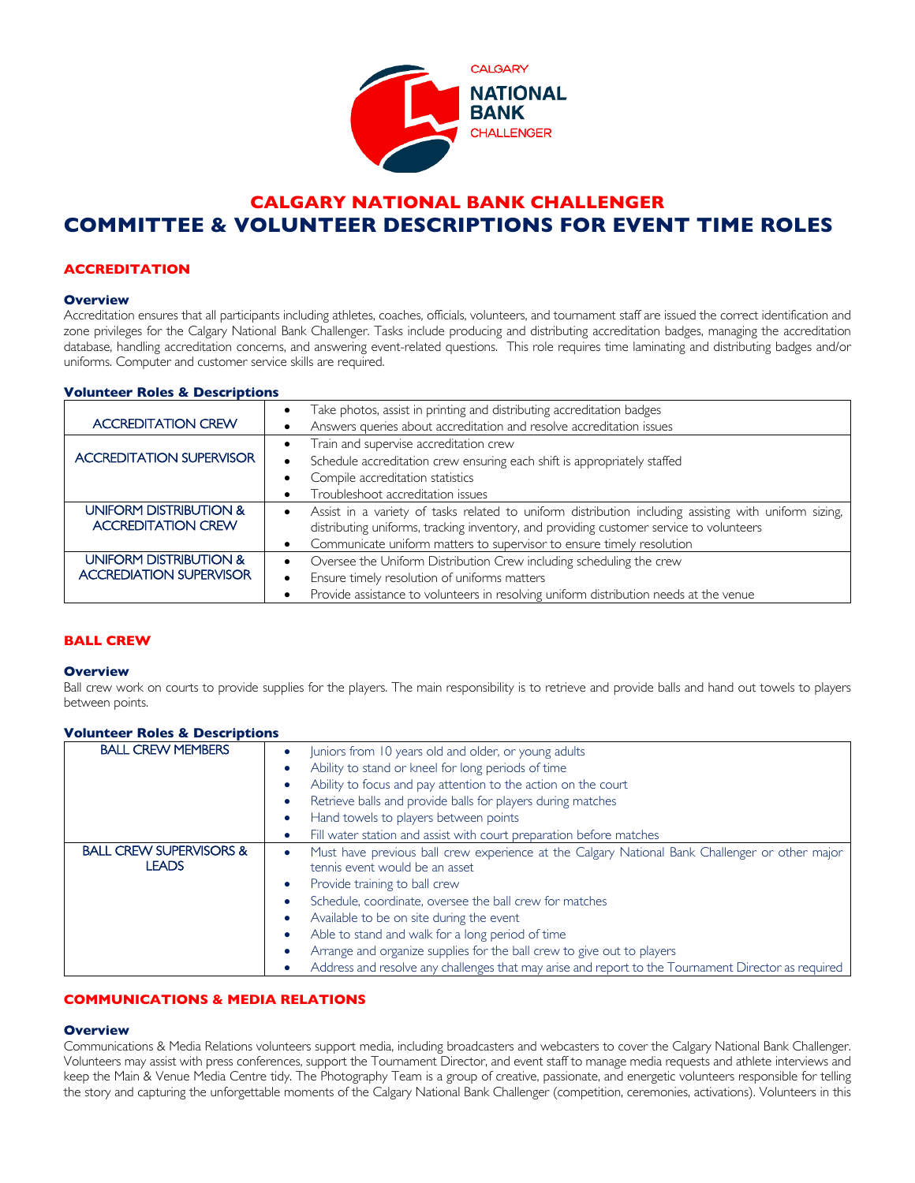

# **CALGARY NATIONAL BANK CHALLENGER COMMITTEE & VOLUNTEER DESCRIPTIONS FOR EVENT TIME ROLES**

# **ACCREDITATION**

### **Overview**

Accreditation ensures that all participants including athletes, coaches, officials, volunteers, and tournament staff are issued the correct identification and zone privileges for the Calgary National Bank Challenger. Tasks include producing and distributing accreditation badges, managing the accreditation database, handling accreditation concerns, and answering event-related questions. This role requires time laminating and distributing badges and/or uniforms. Computer and customer service skills are required.

### **Volunteer Roles & Descriptions**

| <b>ACCREDITATION CREW</b>                           | Take photos, assist in printing and distributing accreditation badges<br>Answers queries about accreditation and resolve accreditation issues                                                    |
|-----------------------------------------------------|--------------------------------------------------------------------------------------------------------------------------------------------------------------------------------------------------|
| <b>ACCREDITATION SUPERVISOR</b>                     | Train and supervise accreditation crew<br>Schedule accreditation crew ensuring each shift is appropriately staffed                                                                               |
|                                                     | Compile accreditation statistics<br>Troubleshoot accreditation issues                                                                                                                            |
| UNIFORM DISTRIBUTION &<br><b>ACCREDITATION CREW</b> | Assist in a variety of tasks related to uniform distribution including assisting with uniform sizing,<br>distributing uniforms, tracking inventory, and providing customer service to volunteers |
|                                                     | Communicate uniform matters to supervisor to ensure timely resolution                                                                                                                            |
| UNIFORM DISTRIBUTION &                              | Oversee the Uniform Distribution Crew including scheduling the crew                                                                                                                              |
| <b>ACCREDIATION SUPERVISOR</b>                      | Ensure timely resolution of uniforms matters                                                                                                                                                     |
|                                                     | Provide assistance to volunteers in resolving uniform distribution needs at the venue                                                                                                            |

# **BALL CREW**

### **Overview**

Ball crew work on courts to provide supplies for the players. The main responsibility is to retrieve and provide balls and hand out towels to players between points.

# **Volunteer Roles & Descriptions**

| <b>BALL CREW MEMBERS</b>                           | Juniors from 10 years old and older, or young adults                                                                             |
|----------------------------------------------------|----------------------------------------------------------------------------------------------------------------------------------|
|                                                    | Ability to stand or kneel for long periods of time                                                                               |
|                                                    | Ability to focus and pay attention to the action on the court                                                                    |
|                                                    | Retrieve balls and provide balls for players during matches                                                                      |
|                                                    | Hand towels to players between points                                                                                            |
|                                                    | Fill water station and assist with court preparation before matches                                                              |
| <b>BALL CREW SUPERVISORS &amp;</b><br><b>LEADS</b> | Must have previous ball crew experience at the Calgary National Bank Challenger or other major<br>tennis event would be an asset |
|                                                    | Provide training to ball crew                                                                                                    |
|                                                    | Schedule, coordinate, oversee the ball crew for matches                                                                          |
|                                                    | Available to be on site during the event                                                                                         |
|                                                    | Able to stand and walk for a long period of time                                                                                 |
|                                                    | Arrange and organize supplies for the ball crew to give out to players                                                           |
|                                                    | Address and resolve any challenges that may arise and report to the Tournament Director as required                              |

# **COMMUNICATIONS & MEDIA RELATIONS**

### **Overview**

Communications & Media Relations volunteers support media, including broadcasters and webcasters to cover the Calgary National Bank Challenger. Volunteers may assist with press conferences, support the Tournament Director, and event staff to manage media requests and athlete interviews and keep the Main & Venue Media Centre tidy. The Photography Team is a group of creative, passionate, and energetic volunteers responsible for telling the story and capturing the unforgettable moments of the Calgary National Bank Challenger (competition, ceremonies, activations). Volunteers in this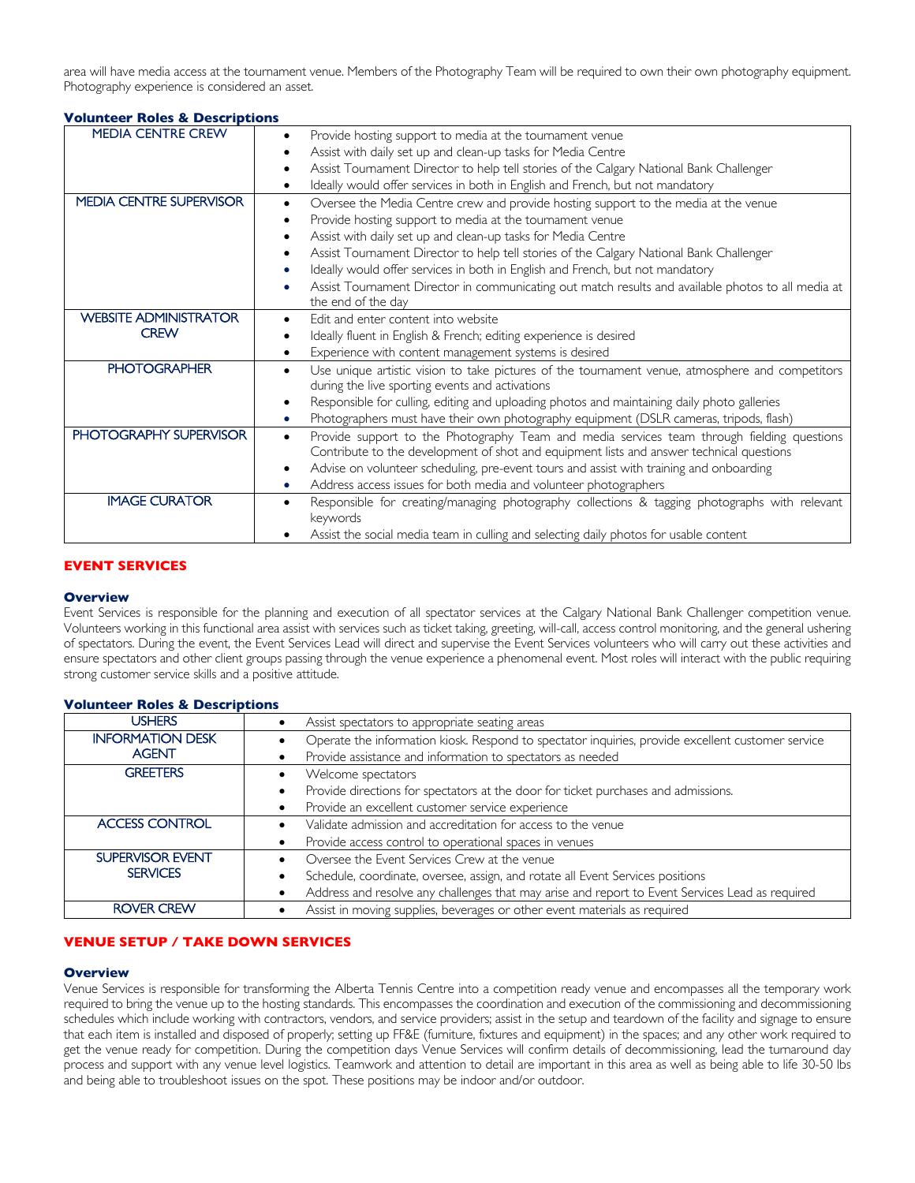area will have media access at the tournament venue. Members of the Photography Team will be required to own their own photography equipment. Photography experience is considered an asset.

### **Volunteer Roles & Descriptions**

| <b>MEDIA CENTRE CREW</b>       | Provide hosting support to media at the tournament venue                                                   |
|--------------------------------|------------------------------------------------------------------------------------------------------------|
|                                | Assist with daily set up and clean-up tasks for Media Centre                                               |
|                                | Assist Tournament Director to help tell stories of the Calgary National Bank Challenger                    |
|                                | Ideally would offer services in both in English and French, but not mandatory                              |
| <b>MEDIA CENTRE SUPERVISOR</b> | Oversee the Media Centre crew and provide hosting support to the media at the venue<br>$\bullet$           |
|                                | Provide hosting support to media at the tournament venue                                                   |
|                                | Assist with daily set up and clean-up tasks for Media Centre                                               |
|                                | Assist Tournament Director to help tell stories of the Calgary National Bank Challenger                    |
|                                | Ideally would offer services in both in English and French, but not mandatory                              |
|                                | Assist Tournament Director in communicating out match results and available photos to all media at         |
|                                | the end of the day                                                                                         |
| <b>WEBSITE ADMINISTRATOR</b>   | Edit and enter content into website                                                                        |
| <b>CREW</b>                    | Ideally fluent in English & French; editing experience is desired                                          |
|                                | Experience with content management systems is desired                                                      |
| <b>PHOTOGRAPHER</b>            | Use unique artistic vision to take pictures of the tournament venue, atmosphere and competitors            |
|                                | during the live sporting events and activations                                                            |
|                                | Responsible for culling, editing and uploading photos and maintaining daily photo galleries                |
|                                | Photographers must have their own photography equipment (DSLR cameras, tripods, flash)                     |
| PHOTOGRAPHY SUPERVISOR         | Provide support to the Photography Team and media services team through fielding questions<br>$\bullet$    |
|                                | Contribute to the development of shot and equipment lists and answer technical questions                   |
|                                | Advise on volunteer scheduling, pre-event tours and assist with training and onboarding<br>$\bullet$       |
|                                | Address access issues for both media and volunteer photographers<br>٠                                      |
| <b>IMAGE CURATOR</b>           | Responsible for creating/managing photography collections & tagging photographs with relevant<br>$\bullet$ |
|                                | keywords                                                                                                   |
|                                | Assist the social media team in culling and selecting daily photos for usable content                      |

# **EVENT SERVICES**

### **Overview**

Event Services is responsible for the planning and execution of all spectator services at the Calgary National Bank Challenger competition venue. Volunteers working in this functional area assist with services such as ticket taking, greeting, will-call, access control monitoring, and the general ushering of spectators. During the event, the Event Services Lead will direct and supervise the Event Services volunteers who will carry out these activities and ensure spectators and other client groups passing through the venue experience a phenomenal event. Most roles will interact with the public requiring strong customer service skills and a positive attitude.

| <b>USHERS</b>           | Assist spectators to appropriate seating areas                                                    |
|-------------------------|---------------------------------------------------------------------------------------------------|
| <b>INFORMATION DESK</b> | Operate the information kiosk. Respond to spectator inquiries, provide excellent customer service |
| <b>AGENT</b>            | Provide assistance and information to spectators as needed                                        |
| <b>GREETERS</b>         | Welcome spectators                                                                                |
|                         | Provide directions for spectators at the door for ticket purchases and admissions.                |
|                         | Provide an excellent customer service experience                                                  |
| <b>ACCESS CONTROL</b>   | Validate admission and accreditation for access to the venue                                      |
|                         | Provide access control to operational spaces in venues                                            |
| <b>SUPERVISOR EVENT</b> | Oversee the Event Services Crew at the venue                                                      |
| <b>SERVICES</b>         | Schedule, coordinate, oversee, assign, and rotate all Event Services positions                    |
|                         | Address and resolve any challenges that may arise and report to Event Services Lead as required   |
| <b>ROVER CREW</b>       | Assist in moving supplies, beverages or other event materials as required                         |

### **Volunteer Roles & Descriptions**

# **VENUE SETUP / TAKE DOWN SERVICES**

### **Overview**

Venue Services is responsible for transforming the Alberta Tennis Centre into a competition ready venue and encompasses all the temporary work required to bring the venue up to the hosting standards. This encompasses the coordination and execution of the commissioning and decommissioning schedules which include working with contractors, vendors, and service providers; assist in the setup and teardown of the facility and signage to ensure that each item is installed and disposed of properly; setting up FF&E (furniture, fixtures and equipment) in the spaces; and any other work required to get the venue ready for competition. During the competition days Venue Services will confirm details of decommissioning, lead the turnaround day process and support with any venue level logistics. Teamwork and attention to detail are important in this area as well as being able to life 30-50 lbs and being able to troubleshoot issues on the spot. These positions may be indoor and/or outdoor.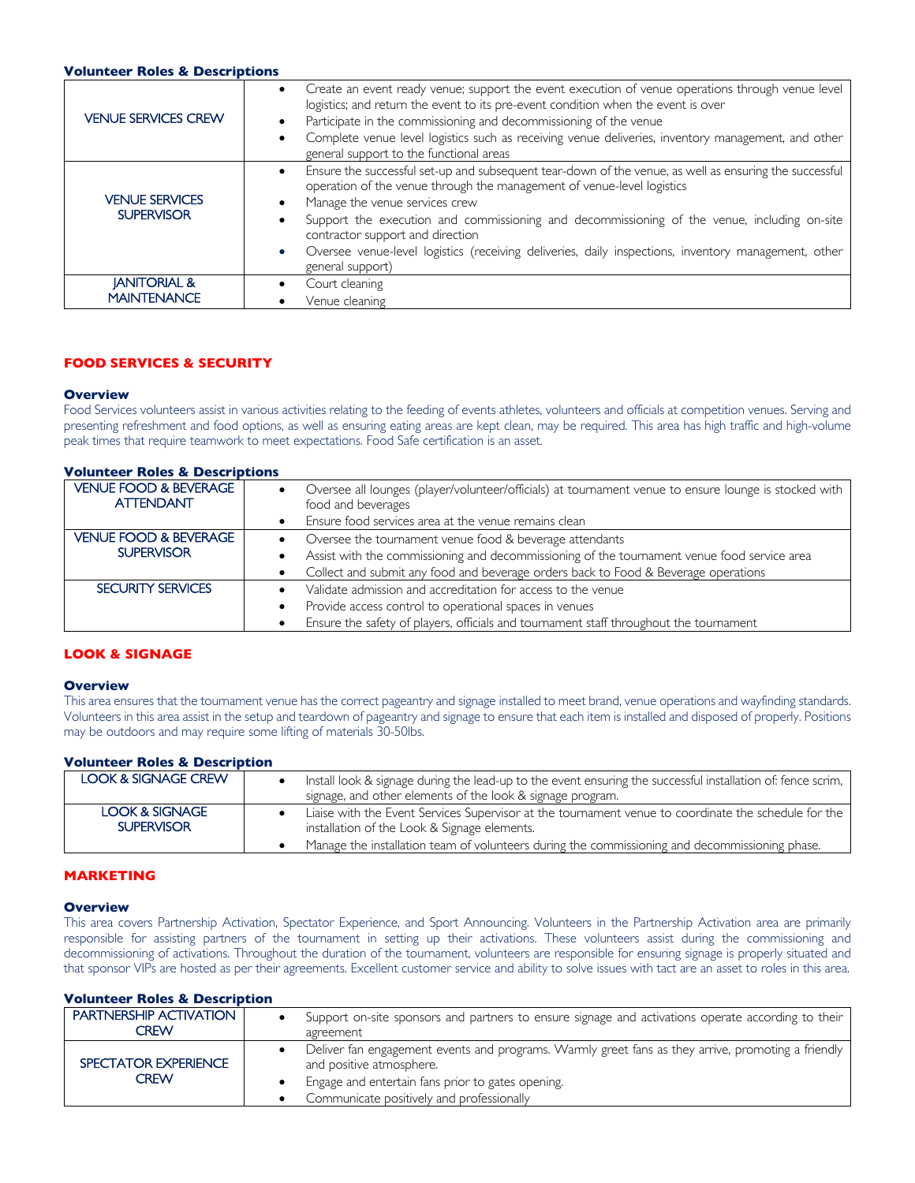#### **Volunteer Roles & Descriptions**

| <b>VENUE SERVICES CREW</b>                    | • Create an event ready venue; support the event execution of venue operations through venue level<br>logistics; and return the event to its pre-event condition when the event is over<br>Participate in the commissioning and decommissioning of the venue<br>Complete venue level logistics such as receiving venue deliveries, inventory management, and other<br>general support to the functional areas                                                                    |
|-----------------------------------------------|----------------------------------------------------------------------------------------------------------------------------------------------------------------------------------------------------------------------------------------------------------------------------------------------------------------------------------------------------------------------------------------------------------------------------------------------------------------------------------|
| <b>VENUE SERVICES</b><br><b>SUPERVISOR</b>    | Ensure the successful set-up and subsequent tear-down of the venue, as well as ensuring the successful<br>operation of the venue through the management of venue-level logistics<br>Manage the venue services crew<br>Support the execution and commissioning and decommissioning of the venue, including on-site<br>contractor support and direction<br>Oversee venue-level logistics (receiving deliveries, daily inspections, inventory management, other<br>general support) |
| <b>JANITORIAL &amp;</b><br><b>MAINTENANCE</b> | Court cleaning<br>Venue cleaning                                                                                                                                                                                                                                                                                                                                                                                                                                                 |

# **FOOD SERVICES & SECURITY**

# **Overview**

Food Services volunteers assist in various activities relating to the feeding of events athletes, volunteers and officials at competition venues. Serving and presenting refreshment and food options, as well as ensuring eating areas are kept clean, may be required. This area has high traffic and high-volume peak times that require teamwork to meet expectations. Food Safe certification is an asset.

# **Volunteer Roles & Descriptions**

| <b>VENUE FOOD &amp; BEVERAGE</b><br><b>ATTENDANT</b> | Oversee all lounges (player/volunteer/officials) at tournament venue to ensure lounge is stocked with<br>$\bullet$<br>food and beverages |
|------------------------------------------------------|------------------------------------------------------------------------------------------------------------------------------------------|
|                                                      | Ensure food services area at the venue remains clean                                                                                     |
| <b>VENUE FOOD &amp; BEVERAGE</b>                     | Oversee the tournament venue food & beverage attendants<br>$\bullet$                                                                     |
| <b>SUPERVISOR</b>                                    | Assist with the commissioning and decommissioning of the tournament venue food service area                                              |
|                                                      | Collect and submit any food and beverage orders back to Food & Beverage operations<br>$\bullet$                                          |
| <b>SECURITY SERVICES</b>                             | Validate admission and accreditation for access to the venue                                                                             |
|                                                      | Provide access control to operational spaces in venues                                                                                   |
|                                                      | Ensure the safety of players, officials and tournament staff throughout the tournament                                                   |

# **LOOK & SIGNAGE**

#### **Overview**

This area ensures that the tournament venue has the correct pageantry and signage installed to meet brand, venue operations and wayfinding standards. Volunteers in this area assist in the setup and teardown of pageantry and signage to ensure that each item is installed and disposed of properly. Positions may be outdoors and may require some lifting of materials 30-50lbs.

# **Volunteer Roles & Description**

| <b>LOOK &amp; SIGNAGE CREW</b>                 | Install look & signage during the lead-up to the event ensuring the successful installation of fence scrim,                                          |
|------------------------------------------------|------------------------------------------------------------------------------------------------------------------------------------------------------|
|                                                | signage, and other elements of the look & signage program.                                                                                           |
| <b>LOOK &amp; SIGNAGE</b><br><b>SUPERVISOR</b> | Liaise with the Event Services Supervisor at the tournament venue to coordinate the schedule for the<br>installation of the Look & Signage elements. |
|                                                | Manage the installation team of volunteers during the commissioning and decommissioning phase.                                                       |

### **MARKETING**

#### **Overview**

This area covers Partnership Activation, Spectator Experience, and Sport Announcing. Volunteers in the Partnership Activation area are primarily responsible for assisting partners of the tournament in setting up their activations. These volunteers assist during the commissioning and decommissioning of activations. Throughout the duration of the tournament, volunteers are responsible for ensuring signage is properly situated and that sponsor VIPs are hosted as per their agreements. Excellent customer service and ability to solve issues with tact are an asset to roles in this area.

### **Volunteer Roles & Description**

| <b>PARTNERSHIP ACTIVATION</b><br>CREW | Support on-site sponsors and partners to ensure signage and activations operate according to their<br>agreement                |
|---------------------------------------|--------------------------------------------------------------------------------------------------------------------------------|
| SPECTATOR EXPERIENCE<br>CRFW          | Deliver fan engagement events and programs. Warmly greet fans as they arrive, promoting a friendly<br>and positive atmosphere. |
|                                       | Engage and entertain fans prior to gates opening.<br>Communicate positively and professionally                                 |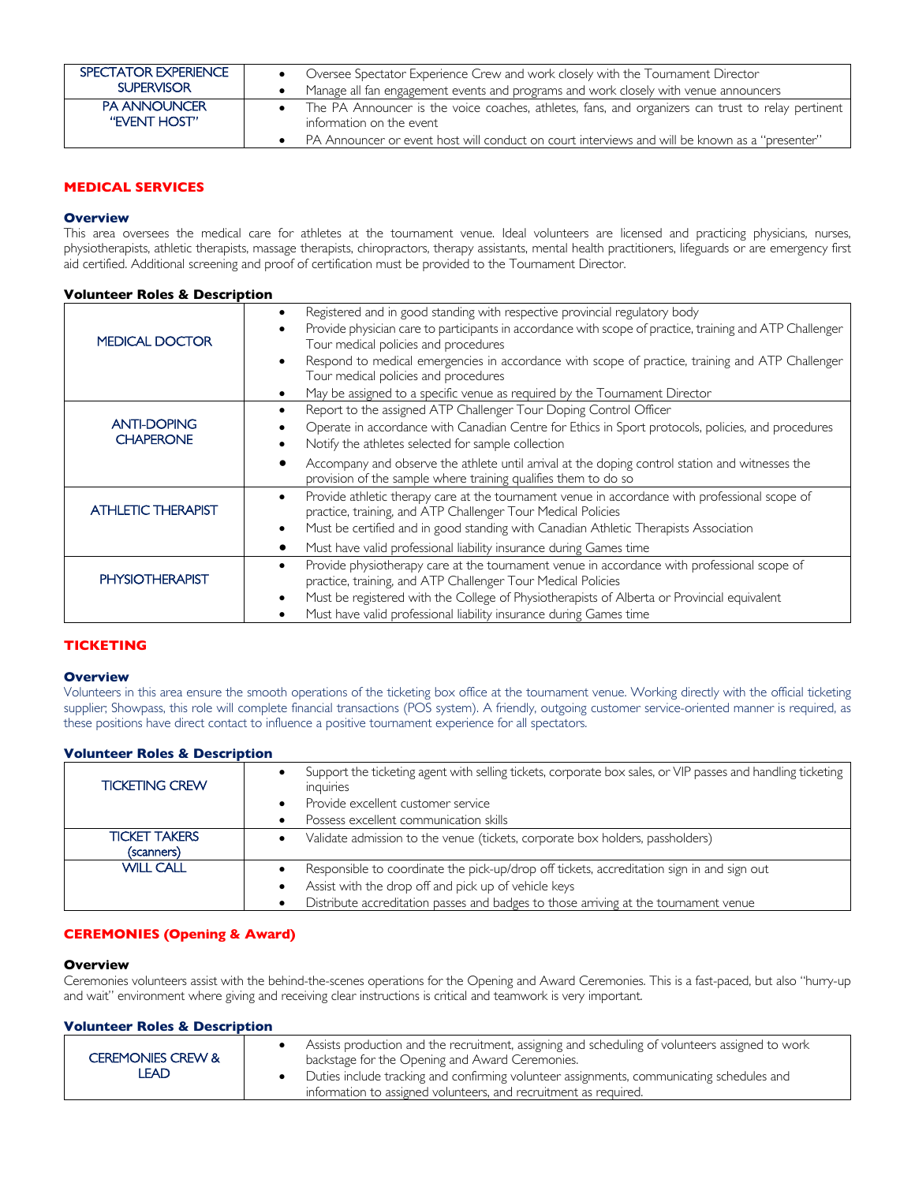| SPECTATOR EXPERIENCE | Oversee Spectator Experience Crew and work closely with the Tournament Director                    |
|----------------------|----------------------------------------------------------------------------------------------------|
| <b>SUPERVISOR</b>    | Manage all fan engagement events and programs and work closely with venue announcers               |
| <b>PA ANNOUNCER</b>  | The PA Announcer is the voice coaches, athletes, fans, and organizers can trust to relay pertinent |
| "EVENT HOST"         | information on the event                                                                           |
|                      | "PA Announcer or event host will conduct on court interviews and will be known as a "presenter"    |

# **MEDICAL SERVICES**

### **Overview**

This area oversees the medical care for athletes at the tournament venue. Ideal volunteers are licensed and practicing physicians, nurses, physiotherapists, athletic therapists, massage therapists, chiropractors, therapy assistants, mental health practitioners, lifeguards or are emergency first aid certified. Additional screening and proof of certification must be provided to the Tournament Director.

### **Volunteer Roles & Description**

| <b>MEDICAL DOCTOR</b>                  | Registered and in good standing with respective provincial regulatory body<br>Provide physician care to participants in accordance with scope of practice, training and ATP Challenger<br>Tour medical policies and procedures<br>Respond to medical emergencies in accordance with scope of practice, training and ATP Challenger<br>Tour medical policies and procedures<br>May be assigned to a specific venue as required by the Tournament Director |
|----------------------------------------|----------------------------------------------------------------------------------------------------------------------------------------------------------------------------------------------------------------------------------------------------------------------------------------------------------------------------------------------------------------------------------------------------------------------------------------------------------|
| <b>ANTI-DOPING</b><br><b>CHAPERONE</b> | Report to the assigned ATP Challenger Tour Doping Control Officer<br>Operate in accordance with Canadian Centre for Ethics in Sport protocols, policies, and procedures<br>Notify the athletes selected for sample collection<br>Accompany and observe the athlete until arrival at the doping control station and witnesses the                                                                                                                         |
|                                        | provision of the sample where training qualifies them to do so                                                                                                                                                                                                                                                                                                                                                                                           |
| <b>ATHLETIC THERAPIST</b>              | Provide athletic therapy care at the tournament venue in accordance with professional scope of<br>$\bullet$<br>practice, training, and ATP Challenger Tour Medical Policies<br>Must be certified and in good standing with Canadian Athletic Therapists Association<br>$\bullet$                                                                                                                                                                         |
|                                        | Must have valid professional liability insurance during Games time                                                                                                                                                                                                                                                                                                                                                                                       |
| <b>PHYSIOTHERAPIST</b>                 | Provide physiotherapy care at the tournament venue in accordance with professional scope of<br>practice, training, and ATP Challenger Tour Medical Policies<br>Must be registered with the College of Physiotherapists of Alberta or Provincial equivalent<br>Must have valid professional liability insurance during Games time                                                                                                                         |

# **TICKETING**

### **Overview**

Volunteers in this area ensure the smooth operations of the ticketing box office at the tournament venue. Working directly with the official ticketing supplier; Showpass, this role will complete financial transactions (POS system). A friendly, outgoing customer service-oriented manner is required, as these positions have direct contact to influence a positive tournament experience for all spectators.

### **Volunteer Roles & Description**

| <b>TICKETING CREW</b>              | Support the ticketing agent with selling tickets, corporate box sales, or VIP passes and handling ticketing<br>inquiries<br>Provide excellent customer service<br>Possess excellent communication skills                                   |
|------------------------------------|--------------------------------------------------------------------------------------------------------------------------------------------------------------------------------------------------------------------------------------------|
| <b>TICKET TAKERS</b><br>(scanners) | Validate admission to the venue (tickets, corporate box holders, passholders)                                                                                                                                                              |
| <b>WILL CALL</b>                   | Responsible to coordinate the pick-up/drop off tickets, accreditation sign in and sign out<br>Assist with the drop off and pick up of vehicle keys<br>Distribute accreditation passes and badges to those arriving at the tournament venue |

# **CEREMONIES (Opening & Award)**

### **Overview**

Ceremonies volunteers assist with the behind-the-scenes operations for the Opening and Award Ceremonies. This is a fast-paced, but also "hurry-up and wait" environment where giving and receiving clear instructions is critical and teamwork is very important.

# **Volunteer Roles & Description**

| <b>CEREMONIES CREW &amp;</b><br>∟EAD | Assists production and the recruitment, assigning and scheduling of volunteers assigned to work<br>backstage for the Opening and Award Ceremonies.            |
|--------------------------------------|---------------------------------------------------------------------------------------------------------------------------------------------------------------|
|                                      | Duties include tracking and confirming volunteer assignments, communicating schedules and<br>information to assigned volunteers, and recruitment as required. |